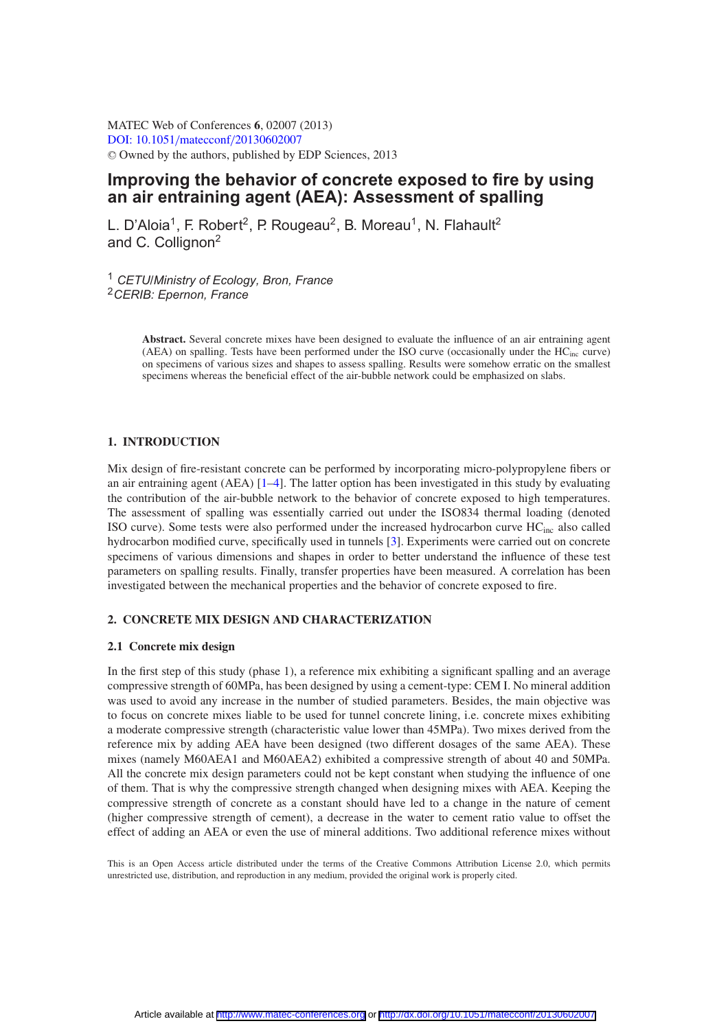MATEC Web of Conferences **6**, 02007 (2013) [DOI: 10.1051](http://dx.doi.org/10.1051/matecconf/20130602007)/matecconf/20130602007 <sup>C</sup> Owned by the authors, published by EDP Sciences, 2013

# **Improving the behavior of concrete exposed to fire by using an air entraining agent (AEA): Assessment of spalling**

L. D'Aloia<sup>1</sup>, F. Robert<sup>2</sup>, P. Rougeau<sup>2</sup>, B. Moreau<sup>1</sup>, N. Flahault<sup>2</sup> and C. Collignon<sup>2</sup>

<sup>1</sup> CETU/Ministry of Ecology, Bron, France *CETU/Ministry of Ecology, Bron, France* 2*CERIB: Epernon, France*

> **Abstract.** Several concrete mixes have been designed to evaluate the influence of an air entraining agent (AEA) on spalling. Tests have been performed under the ISO curve (occasionally under the HC<sub>inc</sub> curve) on specimens of various sizes and shapes to assess spalling. Results were somehow erratic on the smallest specimens whereas the beneficial effect of the air-bubble network could be emphasized on slabs.

# **1. INTRODUCTION**

Mix design of fire-resistant concrete can be performed by incorporating micro-polypropylene fibers or an air entraining agent  $(AEA)$  [\[1](#page-7-0)[–4](#page-7-1)]. The latter option has been investigated in this study by evaluating the contribution of the air-bubble network to the behavior of concrete exposed to high temperatures. The assessment of spalling was essentially carried out under the ISO834 thermal loading (denoted ISO curve). Some tests were also performed under the increased hydrocarbon curve HCinc also called hydrocarbon modified curve, specifically used in tunnels [\[3](#page-7-2)]. Experiments were carried out on concrete specimens of various dimensions and shapes in order to better understand the influence of these test parameters on spalling results. Finally, transfer properties have been measured. A correlation has been investigated between the mechanical properties and the behavior of concrete exposed to fire.

# **2. CONCRETE MIX DESIGN AND CHARACTERIZATION**

#### **2.1 Concrete mix design**

In the first step of this study (phase 1), a reference mix exhibiting a significant spalling and an average compressive strength of 60MPa, has been designed by using a cement-type: CEM I. No mineral addition was used to avoid any increase in the number of studied parameters. Besides, the main objective was to focus on concrete mixes liable to be used for tunnel concrete lining, i.e. concrete mixes exhibiting a moderate compressive strength (characteristic value lower than 45MPa). Two mixes derived from the reference mix by adding AEA have been designed (two different dosages of the same AEA). These mixes (namely M60AEA1 and M60AEA2) exhibited a compressive strength of about 40 and 50MPa. All the concrete mix design parameters could not be kept constant when studying the influence of one of them. That is why the compressive strength changed when designing mixes with AEA. Keeping the compressive strength of concrete as a constant should have led to a change in the nature of cement (higher compressive strength of cement), a decrease in the water to cement ratio value to offset the effect of adding an AEA or even the use of mineral additions. Two additional reference mixes without

This is an Open Access article distributed under the terms of the Creative Commons Attribution License 2.0, which permits unrestricted use, distribution, and reproduction in any medium, provided the original work is properly cited.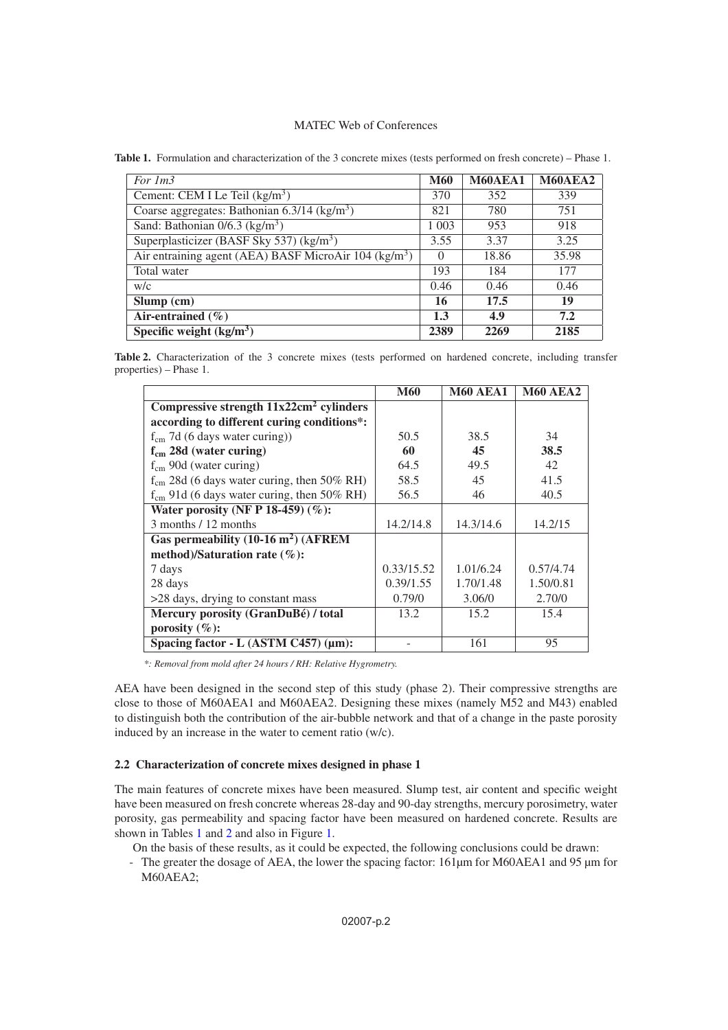<span id="page-1-0"></span>

| For 1m <sub>3</sub>                                                 | <b>M60</b> | M60AEA1 | M60AEA2 |
|---------------------------------------------------------------------|------------|---------|---------|
| Cement: CEM I Le Teil $(kg/m3)$                                     | 370        | 352     | 339     |
| Coarse aggregates: Bathonian $6.3/14$ (kg/m <sup>3</sup> )          | 821        | 780     | 751     |
| Sand: Bathonian $0/6.3$ (kg/m <sup>3</sup> )                        | 1 0 0 3    | 953     | 918     |
| Superplasticizer (BASF Sky 537) $(kg/m3)$                           | 3.55       | 3.37    | 3.25    |
| Air entraining agent (AEA) BASF MicroAir $104$ (kg/m <sup>3</sup> ) |            | 18.86   | 35.98   |
| Total water                                                         | 193        | 184     | 177     |
| W/c                                                                 | 0.46       | 0.46    | 0.46    |
| $Slump$ (cm)                                                        | 16         | 17.5    | 19      |
| Air-entrained $(\% )$                                               | 1.3        | 4.9     | 7.2     |
| Specific weight $(kg/m3)$                                           | 2389       | 2269    | 2185    |

<span id="page-1-1"></span>**Table 2.** Characterization of the 3 concrete mixes (tests performed on hardened concrete, including transfer properties) – Phase 1.

|                                                 | <b>M60</b> | <b>M60 AEA1</b> | <b>M60 AEA2</b> |
|-------------------------------------------------|------------|-----------------|-----------------|
| Compressive strength $11x22cm^2$ cylinders      |            |                 |                 |
| according to different curing conditions*:      |            |                 |                 |
| $f_{cm}$ 7d (6 days water curing))              | 50.5       | 38.5            | 34              |
| $f_{cm}$ 28d (water curing)                     | 60         | 45              | 38.5            |
| $f_{cm}$ 90d (water curing)                     | 64.5       | 49.5            | 42              |
| $f_{cm}$ 28d (6 days water curing, then 50% RH) | 58.5       | 45              | 41.5            |
| $f_{cm}$ 91d (6 days water curing, then 50% RH) | 56.5       | 46              | 40.5            |
| Water porosity (NF P 18-459) $(\%):$            |            |                 |                 |
| 3 months / 12 months                            | 14.2/14.8  | 14.3/14.6       | 14.2/15         |
| Gas permeability $(10-16 \text{ m}^2)$ (AFREM   |            |                 |                 |
| method)/Saturation rate $(\% )$ :               |            |                 |                 |
| 7 days                                          | 0.33/15.52 | 1.01/6.24       | 0.57/4.74       |
| 28 days                                         | 0.39/1.55  | 1.70/1.48       | 1.50/0.81       |
| >28 days, drying to constant mass               | 0.79/0     | 3.06/0          | 2.70/0          |
| Mercury porosity (GranDuBé) / total             | 13.2       | 15.2            | 15.4            |
| porosity $(\%):$                                |            |                 |                 |
| Spacing factor - L $(ASTM C457)$ ( $\mu$ m):    |            | 161             | 95              |

*\*: Removal from mold after 24 hours / RH: Relative Hygrometry.*

AEA have been designed in the second step of this study (phase 2). Their compressive strengths are close to those of M60AEA1 and M60AEA2. Designing these mixes (namely M52 and M43) enabled to distinguish both the contribution of the air-bubble network and that of a change in the paste porosity induced by an increase in the water to cement ratio (w/c).

### **2.2 Characterization of concrete mixes designed in phase 1**

The main features of concrete mixes have been measured. Slump test, air content and specific weight have been measured on fresh concrete whereas 28-day and 90-day strengths, mercury porosimetry, water porosity, gas permeability and spacing factor have been measured on hardened concrete. Results are shown in Tables [1](#page-1-0) and [2](#page-1-1) and also in Figure [1.](#page-2-0)

On the basis of these results, as it could be expected, the following conclusions could be drawn:

- The greater the dosage of AEA, the lower the spacing factor: 161µm for M60AEA1 and 95 µm for M60AEA2;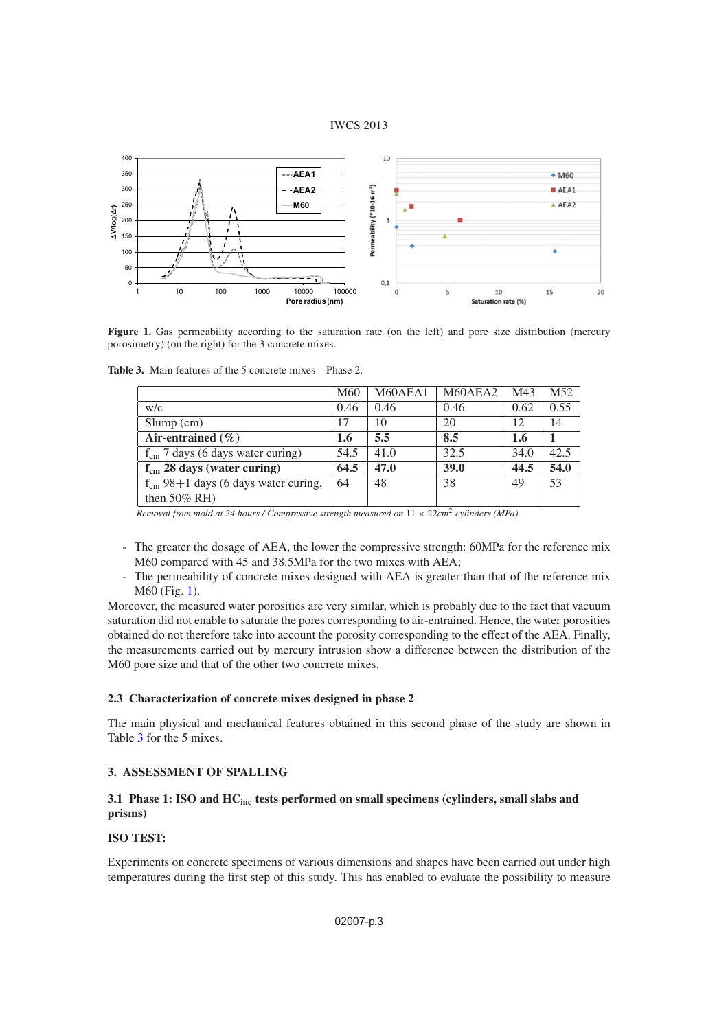# IWCS 2013

<span id="page-2-0"></span>

Figure 1. Gas permeability according to the saturation rate (on the left) and pore size distribution (mercury porosimetry) (on the right) for the 3 concrete mixes.

|                                          | M60  | M60AEA1 | M60AEA2 | M43  | M <sub>52</sub> |
|------------------------------------------|------|---------|---------|------|-----------------|
| W/c                                      | 0.46 | 0.46    | 0.46    | 0.62 | 0.55            |
| $Slump$ (cm)                             | 17   | 10      | 20      | 12   | 14              |
| Air-entrained $(\% )$                    | 1.6  | 5.5     | 8.5     | 1.6  |                 |
| $f_{cm}$ 7 days (6 days water curing)    | 54.5 | 41.0    | 32.5    | 34.0 | 42.5            |
| $f_{cm}$ 28 days (water curing)          | 64.5 | 47.0    | 39.0    | 44.5 | 54.0            |
| $f_{cm}$ 98+1 days (6 days water curing, | 64   | 48      | 38      | 49   | 53              |
| then $50\%$ RH)                          |      |         |         |      |                 |

<span id="page-2-1"></span>**Table 3.** Main features of the 5 concrete mixes – Phase 2.

*Removal from mold at 24 hours / Compressive strength measured on* <sup>11</sup> <sup>×</sup> <sup>22</sup>*cm*<sup>2</sup> *cylinders (MPa).*

- The greater the dosage of AEA, the lower the compressive strength: 60MPa for the reference mix M60 compared with 45 and 38.5MPa for the two mixes with AEA;
- The permeability of concrete mixes designed with AEA is greater than that of the reference mix M60 (Fig. [1\)](#page-2-0).

Moreover, the measured water porosities are very similar, which is probably due to the fact that vacuum saturation did not enable to saturate the pores corresponding to air-entrained. Hence, the water porosities obtained do not therefore take into account the porosity corresponding to the effect of the AEA. Finally, the measurements carried out by mercury intrusion show a difference between the distribution of the M60 pore size and that of the other two concrete mixes.

### **2.3 Characterization of concrete mixes designed in phase 2**

The main physical and mechanical features obtained in this second phase of the study are shown in Table [3](#page-2-1) for the 5 mixes.

# **3. ASSESSMENT OF SPALLING**

# **3.1 Phase 1: ISO and HCinc tests performed on small specimens (cylinders, small slabs and prisms)**

# **ISO TEST:**

Experiments on concrete specimens of various dimensions and shapes have been carried out under high temperatures during the first step of this study. This has enabled to evaluate the possibility to measure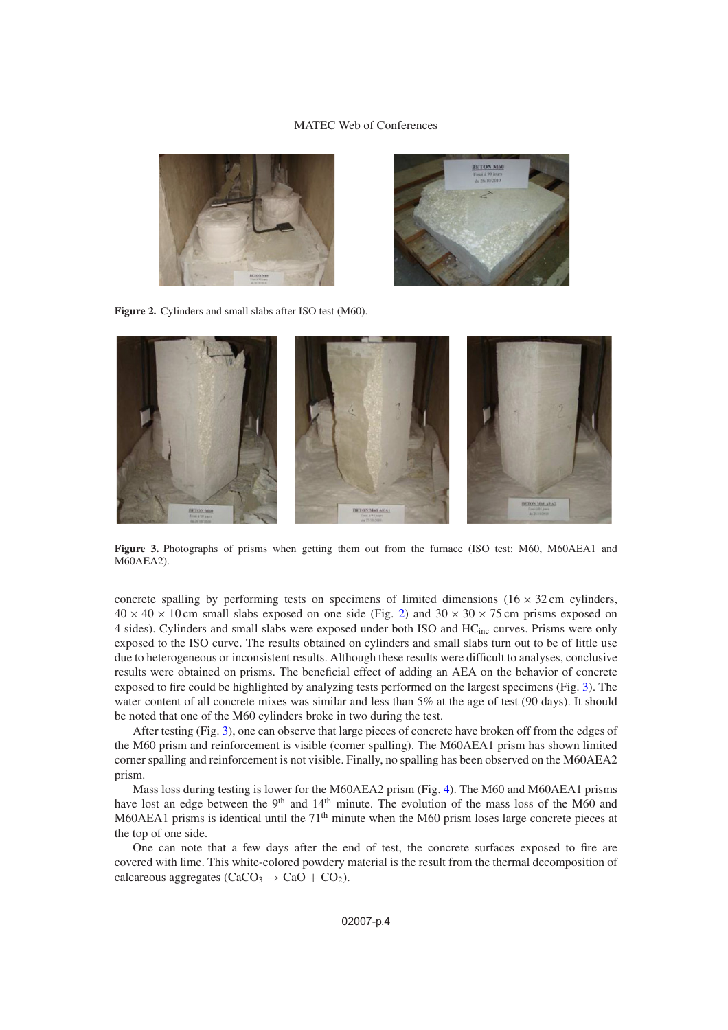

<span id="page-3-0"></span>

**Figure 2.** Cylinders and small slabs after ISO test (M60).

<span id="page-3-1"></span>

**Figure 3.** Photographs of prisms when getting them out from the furnace (ISO test: M60, M60AEA1 and M60AEA2).

concrete spalling by performing tests on specimens of limited dimensions  $(16 \times 32 \text{ cm}$  cylinders,  $40 \times 40 \times 10$  cm small slabs exposed on one side (Fig. [2\)](#page-3-0) and  $30 \times 30 \times 75$  cm prisms exposed on 4 sides). Cylinders and small slabs were exposed under both ISO and HCinc curves. Prisms were only exposed to the ISO curve. The results obtained on cylinders and small slabs turn out to be of little use due to heterogeneous or inconsistent results. Although these results were difficult to analyses, conclusive results were obtained on prisms. The beneficial effect of adding an AEA on the behavior of concrete exposed to fire could be highlighted by analyzing tests performed on the largest specimens (Fig. [3\)](#page-3-1). The water content of all concrete mixes was similar and less than 5% at the age of test (90 days). It should be noted that one of the M60 cylinders broke in two during the test.

After testing (Fig. [3\)](#page-3-1), one can observe that large pieces of concrete have broken off from the edges of the M60 prism and reinforcement is visible (corner spalling). The M60AEA1 prism has shown limited corner spalling and reinforcement is not visible. Finally, no spalling has been observed on the M60AEA2 prism.

Mass loss during testing is lower for the M60AEA2 prism (Fig. [4\)](#page-4-0). The M60 and M60AEA1 prisms have lost an edge between the 9<sup>th</sup> and 14<sup>th</sup> minute. The evolution of the mass loss of the M60 and M60AEA1 prisms is identical until the  $71<sup>th</sup>$  minute when the M60 prism loses large concrete pieces at the top of one side.

One can note that a few days after the end of test, the concrete surfaces exposed to fire are covered with lime. This white-colored powdery material is the result from the thermal decomposition of calcareous aggregates (CaCO<sub>3</sub>  $\rightarrow$  CaO + CO<sub>2</sub>).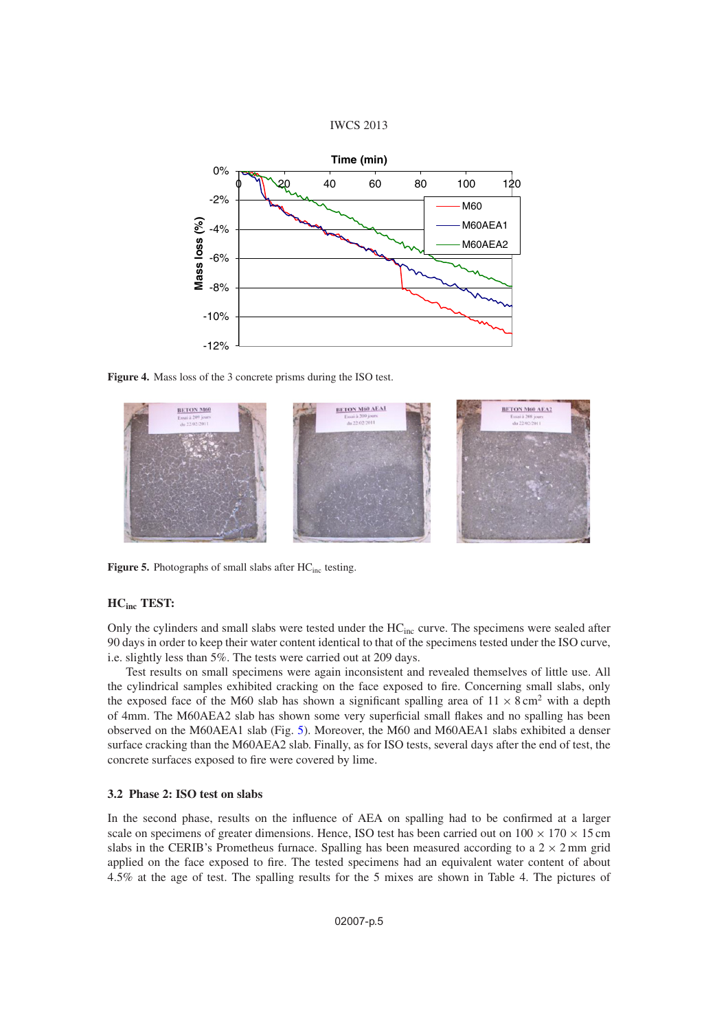#### IWCS 2013

<span id="page-4-0"></span>

**Figure 4.** Mass loss of the 3 concrete prisms during the ISO test.

<span id="page-4-1"></span>

Figure 5. Photographs of small slabs after HC<sub>inc</sub> testing.

#### **HCinc TEST:**

Only the cylinders and small slabs were tested under the HC<sub>inc</sub> curve. The specimens were sealed after 90 days in order to keep their water content identical to that of the specimens tested under the ISO curve, i.e. slightly less than 5%. The tests were carried out at 209 days.

Test results on small specimens were again inconsistent and revealed themselves of little use. All the cylindrical samples exhibited cracking on the face exposed to fire. Concerning small slabs, only the exposed face of the M60 slab has shown a significant spalling area of  $11 \times 8$  cm<sup>2</sup> with a depth of 4mm. The M60AEA2 slab has shown some very superficial small flakes and no spalling has been observed on the M60AEA1 slab (Fig. [5\)](#page-4-1). Moreover, the M60 and M60AEA1 slabs exhibited a denser surface cracking than the M60AEA2 slab. Finally, as for ISO tests, several days after the end of test, the concrete surfaces exposed to fire were covered by lime.

#### **3.2 Phase 2: ISO test on slabs**

In the second phase, results on the influence of AEA on spalling had to be confirmed at a larger scale on specimens of greater dimensions. Hence, ISO test has been carried out on  $100 \times 170 \times 15$  cm slabs in the CERIB's Prometheus furnace. Spalling has been measured according to a  $2 \times 2$  mm grid applied on the face exposed to fire. The tested specimens had an equivalent water content of about 4.5% at the age of test. The spalling results for the 5 mixes are shown in Table 4. The pictures of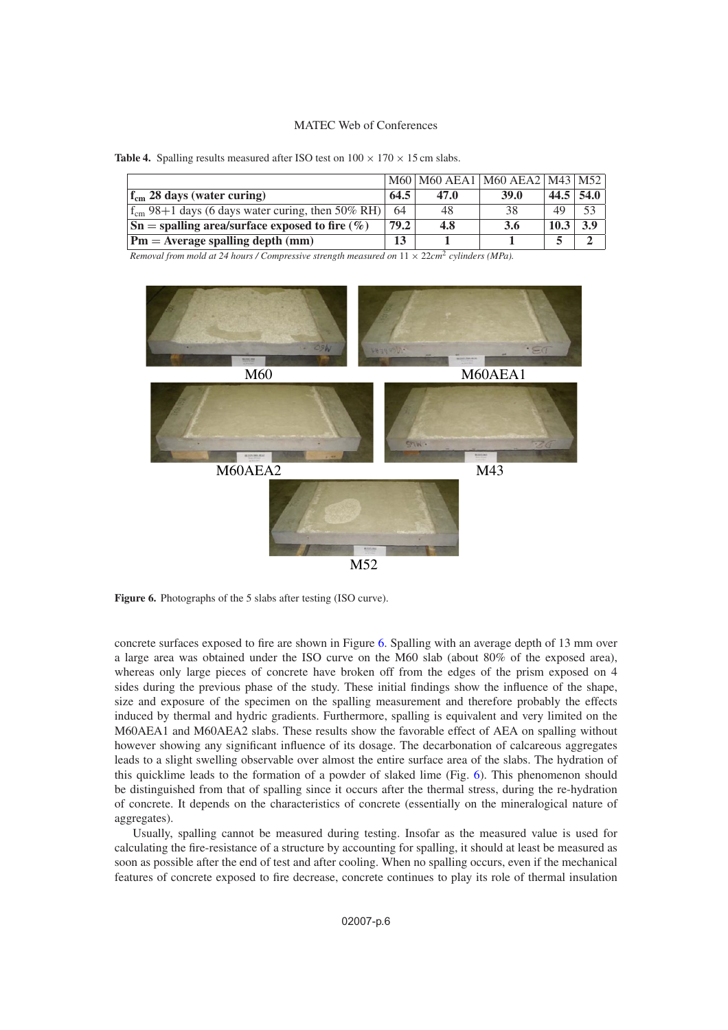|  |  | <b>Table 4.</b> Spalling results measured after ISO test on $100 \times 170 \times 15$ cm slabs. |  |  |
|--|--|--------------------------------------------------------------------------------------------------|--|--|
|--|--|--------------------------------------------------------------------------------------------------|--|--|

|      |      |             |      | M60   M60 AEA1   M60 AEA2   M43   M52 |
|------|------|-------------|------|---------------------------------------|
| 64.5 | 47.0 | <b>39.0</b> | 44.5 | 54.0                                  |
| 64   | 48   | 38          | 49   | 53.                                   |
| 79.2 | 4.8  | 3.6         | 10.3 |                                       |
| 13   |      |             |      |                                       |
|      |      |             |      |                                       |

<span id="page-5-0"></span>*Removal from mold at 24 hours / Compressive strength measured on*  $11 \times 22 \text{cm}^2$  *cylinders (MPa).* 



M52

**Figure 6.** Photographs of the 5 slabs after testing (ISO curve).

concrete surfaces exposed to fire are shown in Figure [6.](#page-5-0) Spalling with an average depth of 13 mm over a large area was obtained under the ISO curve on the M60 slab (about 80% of the exposed area), whereas only large pieces of concrete have broken off from the edges of the prism exposed on 4 sides during the previous phase of the study. These initial findings show the influence of the shape, size and exposure of the specimen on the spalling measurement and therefore probably the effects induced by thermal and hydric gradients. Furthermore, spalling is equivalent and very limited on the M60AEA1 and M60AEA2 slabs. These results show the favorable effect of AEA on spalling without however showing any significant influence of its dosage. The decarbonation of calcareous aggregates leads to a slight swelling observable over almost the entire surface area of the slabs. The hydration of this quicklime leads to the formation of a powder of slaked lime (Fig. [6\)](#page-5-0). This phenomenon should be distinguished from that of spalling since it occurs after the thermal stress, during the re-hydration of concrete. It depends on the characteristics of concrete (essentially on the mineralogical nature of aggregates).

Usually, spalling cannot be measured during testing. Insofar as the measured value is used for calculating the fire-resistance of a structure by accounting for spalling, it should at least be measured as soon as possible after the end of test and after cooling. When no spalling occurs, even if the mechanical features of concrete exposed to fire decrease, concrete continues to play its role of thermal insulation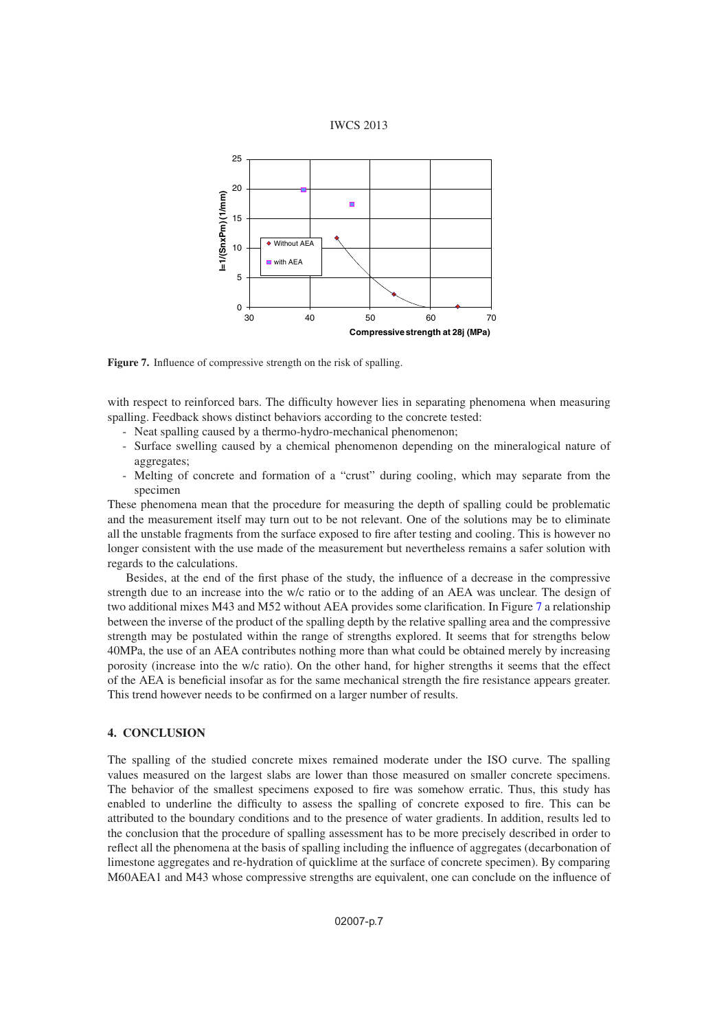

<span id="page-6-0"></span>

**Figure 7.** Influence of compressive strength on the risk of spalling.

with respect to reinforced bars. The difficulty however lies in separating phenomena when measuring spalling. Feedback shows distinct behaviors according to the concrete tested:

- Neat spalling caused by a thermo-hydro-mechanical phenomenon;
- Surface swelling caused by a chemical phenomenon depending on the mineralogical nature of aggregates;
- Melting of concrete and formation of a "crust" during cooling, which may separate from the specimen

These phenomena mean that the procedure for measuring the depth of spalling could be problematic and the measurement itself may turn out to be not relevant. One of the solutions may be to eliminate all the unstable fragments from the surface exposed to fire after testing and cooling. This is however no longer consistent with the use made of the measurement but nevertheless remains a safer solution with regards to the calculations.

Besides, at the end of the first phase of the study, the influence of a decrease in the compressive strength due to an increase into the w/c ratio or to the adding of an AEA was unclear. The design of two additional mixes M43 and M52 without AEA provides some clarification. In Figure [7](#page-6-0) a relationship between the inverse of the product of the spalling depth by the relative spalling area and the compressive strength may be postulated within the range of strengths explored. It seems that for strengths below 40MPa, the use of an AEA contributes nothing more than what could be obtained merely by increasing porosity (increase into the w/c ratio). On the other hand, for higher strengths it seems that the effect of the AEA is beneficial insofar as for the same mechanical strength the fire resistance appears greater. This trend however needs to be confirmed on a larger number of results.

# **4. CONCLUSION**

The spalling of the studied concrete mixes remained moderate under the ISO curve. The spalling values measured on the largest slabs are lower than those measured on smaller concrete specimens. The behavior of the smallest specimens exposed to fire was somehow erratic. Thus, this study has enabled to underline the difficulty to assess the spalling of concrete exposed to fire. This can be attributed to the boundary conditions and to the presence of water gradients. In addition, results led to the conclusion that the procedure of spalling assessment has to be more precisely described in order to reflect all the phenomena at the basis of spalling including the influence of aggregates (decarbonation of limestone aggregates and re-hydration of quicklime at the surface of concrete specimen). By comparing M60AEA1 and M43 whose compressive strengths are equivalent, one can conclude on the influence of